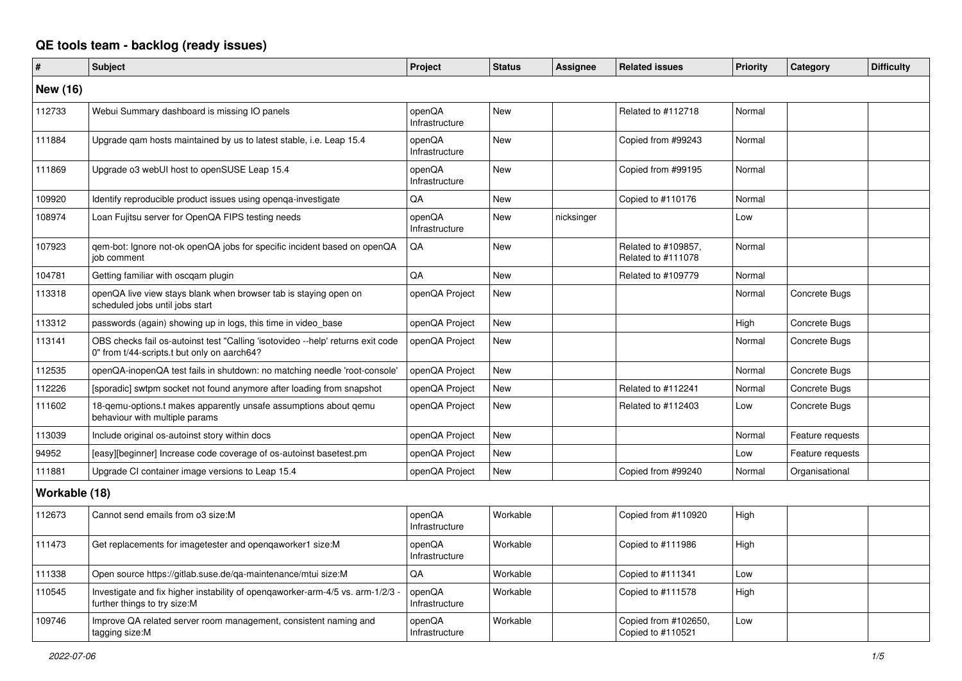## **QE tools team - backlog (ready issues)**

| #               | <b>Subject</b>                                                                                                                 | Project                  | <b>Status</b> | <b>Assignee</b> | <b>Related issues</b>                     | <b>Priority</b> | Category         | <b>Difficulty</b> |
|-----------------|--------------------------------------------------------------------------------------------------------------------------------|--------------------------|---------------|-----------------|-------------------------------------------|-----------------|------------------|-------------------|
| <b>New (16)</b> |                                                                                                                                |                          |               |                 |                                           |                 |                  |                   |
| 112733          | Webui Summary dashboard is missing IO panels                                                                                   | openQA<br>Infrastructure | <b>New</b>    |                 | Related to #112718                        | Normal          |                  |                   |
| 111884          | Upgrade gam hosts maintained by us to latest stable, i.e. Leap 15.4                                                            | openQA<br>Infrastructure | <b>New</b>    |                 | Copied from #99243                        | Normal          |                  |                   |
| 111869          | Upgrade o3 webUI host to openSUSE Leap 15.4                                                                                    | openQA<br>Infrastructure | <b>New</b>    |                 | Copied from #99195                        | Normal          |                  |                   |
| 109920          | Identify reproducible product issues using openga-investigate                                                                  | QA                       | <b>New</b>    |                 | Copied to #110176                         | Normal          |                  |                   |
| 108974          | Loan Fujitsu server for OpenQA FIPS testing needs                                                                              | openQA<br>Infrastructure | New           | nicksinger      |                                           | Low             |                  |                   |
| 107923          | gem-bot: Ignore not-ok openQA jobs for specific incident based on openQA<br>iob comment                                        | QA                       | <b>New</b>    |                 | Related to #109857,<br>Related to #111078 | Normal          |                  |                   |
| 104781          | Getting familiar with oscqam plugin                                                                                            | QA                       | <b>New</b>    |                 | Related to #109779                        | Normal          |                  |                   |
| 113318          | openQA live view stays blank when browser tab is staying open on<br>scheduled jobs until jobs start                            | openQA Project           | <b>New</b>    |                 |                                           | Normal          | Concrete Bugs    |                   |
| 113312          | passwords (again) showing up in logs, this time in video base                                                                  | openQA Project           | <b>New</b>    |                 |                                           | High            | Concrete Bugs    |                   |
| 113141          | OBS checks fail os-autoinst test "Calling 'isotovideo --help' returns exit code<br>0" from t/44-scripts.t but only on aarch64? | openQA Project           | <b>New</b>    |                 |                                           | Normal          | Concrete Bugs    |                   |
| 112535          | openQA-inopenQA test fails in shutdown: no matching needle 'root-console'                                                      | openQA Project           | <b>New</b>    |                 |                                           | Normal          | Concrete Bugs    |                   |
| 112226          | [sporadic] swtpm socket not found anymore after loading from snapshot                                                          | openQA Project           | <b>New</b>    |                 | Related to #112241                        | Normal          | Concrete Bugs    |                   |
| 111602          | 18-qemu-options.t makes apparently unsafe assumptions about qemu<br>behaviour with multiple params                             | openQA Project           | <b>New</b>    |                 | Related to #112403                        | Low             | Concrete Bugs    |                   |
| 113039          | Include original os-autoinst story within docs                                                                                 | openQA Project           | <b>New</b>    |                 |                                           | Normal          | Feature requests |                   |
| 94952           | [easy][beginner] Increase code coverage of os-autoinst basetest.pm                                                             | openQA Project           | <b>New</b>    |                 |                                           | Low             | Feature requests |                   |
| 111881          | Upgrade CI container image versions to Leap 15.4                                                                               | openQA Project           | <b>New</b>    |                 | Copied from #99240                        | Normal          | Organisational   |                   |
| Workable (18)   |                                                                                                                                |                          |               |                 |                                           |                 |                  |                   |
| 112673          | Cannot send emails from o3 size: M                                                                                             | openQA<br>Infrastructure | Workable      |                 | Copied from #110920                       | High            |                  |                   |
| 111473          | Get replacements for imagetester and opengaworker1 size:M                                                                      | openQA<br>Infrastructure | Workable      |                 | Copied to #111986                         | High            |                  |                   |
| 111338          | Open source https://gitlab.suse.de/qa-maintenance/mtui size:M                                                                  | QA                       | Workable      |                 | Copied to #111341                         | Low             |                  |                   |
| 110545          | Investigate and fix higher instability of openqaworker-arm-4/5 vs. arm-1/2/3<br>further things to try size: M                  | openQA<br>Infrastructure | Workable      |                 | Copied to #111578                         | High            |                  |                   |
| 109746          | Improve QA related server room management, consistent naming and<br>tagging size:M                                             | openQA<br>Infrastructure | Workable      |                 | Copied from #102650,<br>Copied to #110521 | Low             |                  |                   |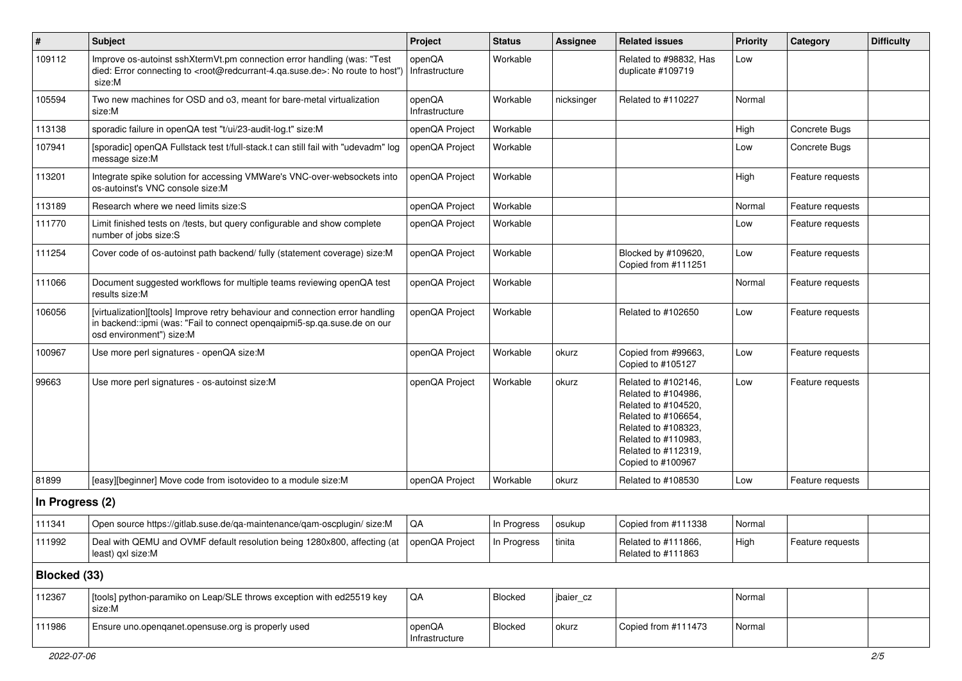| $\sharp$        | <b>Subject</b>                                                                                                                                                                                    | Project                  | <b>Status</b> | <b>Assignee</b> | <b>Related issues</b>                                                                                                                                                              | <b>Priority</b> | Category         | <b>Difficulty</b> |
|-----------------|---------------------------------------------------------------------------------------------------------------------------------------------------------------------------------------------------|--------------------------|---------------|-----------------|------------------------------------------------------------------------------------------------------------------------------------------------------------------------------------|-----------------|------------------|-------------------|
| 109112          | Improve os-autoinst sshXtermVt.pm connection error handling (was: "Test<br>died: Error connecting to <root@redcurrant-4.ga.suse.de>: No route to host")<br/>size:M</root@redcurrant-4.ga.suse.de> | openQA<br>Infrastructure | Workable      |                 | Related to #98832, Has<br>duplicate #109719                                                                                                                                        | Low             |                  |                   |
| 105594          | Two new machines for OSD and o3, meant for bare-metal virtualization<br>size:M                                                                                                                    | openQA<br>Infrastructure | Workable      | nicksinger      | Related to #110227                                                                                                                                                                 | Normal          |                  |                   |
| 113138          | sporadic failure in openQA test "t/ui/23-audit-log.t" size:M                                                                                                                                      | openQA Project           | Workable      |                 |                                                                                                                                                                                    | High            | Concrete Bugs    |                   |
| 107941          | [sporadic] openQA Fullstack test t/full-stack.t can still fail with "udevadm" log<br>message size:M                                                                                               | openQA Project           | Workable      |                 |                                                                                                                                                                                    | Low             | Concrete Bugs    |                   |
| 113201          | Integrate spike solution for accessing VMWare's VNC-over-websockets into<br>os-autoinst's VNC console size:M                                                                                      | openQA Project           | Workable      |                 |                                                                                                                                                                                    | High            | Feature requests |                   |
| 113189          | Research where we need limits size: S                                                                                                                                                             | openQA Project           | Workable      |                 |                                                                                                                                                                                    | Normal          | Feature requests |                   |
| 111770          | Limit finished tests on /tests, but query configurable and show complete<br>number of jobs size:S                                                                                                 | openQA Project           | Workable      |                 |                                                                                                                                                                                    | Low             | Feature requests |                   |
| 111254          | Cover code of os-autoinst path backend/ fully (statement coverage) size:M                                                                                                                         | openQA Project           | Workable      |                 | Blocked by #109620,<br>Copied from #111251                                                                                                                                         | Low             | Feature requests |                   |
| 111066          | Document suggested workflows for multiple teams reviewing openQA test<br>results size:M                                                                                                           | openQA Project           | Workable      |                 |                                                                                                                                                                                    | Normal          | Feature requests |                   |
| 106056          | [virtualization][tools] Improve retry behaviour and connection error handling<br>in backend::ipmi (was: "Fail to connect opengaipmi5-sp.qa.suse.de on our<br>osd environment") size:M             | openQA Project           | Workable      |                 | Related to #102650                                                                                                                                                                 | Low             | Feature requests |                   |
| 100967          | Use more perl signatures - openQA size:M                                                                                                                                                          | openQA Project           | Workable      | okurz           | Copied from #99663,<br>Copied to #105127                                                                                                                                           | Low             | Feature requests |                   |
| 99663           | Use more perl signatures - os-autoinst size:M                                                                                                                                                     | openQA Project           | Workable      | okurz           | Related to #102146,<br>Related to #104986,<br>Related to #104520,<br>Related to #106654,<br>Related to #108323,<br>Related to #110983,<br>Related to #112319,<br>Copied to #100967 | Low             | Feature requests |                   |
| 81899           | [easy][beginner] Move code from isotovideo to a module size:M                                                                                                                                     | openQA Project           | Workable      | okurz           | Related to #108530                                                                                                                                                                 | Low             | Feature requests |                   |
| In Progress (2) |                                                                                                                                                                                                   |                          |               |                 |                                                                                                                                                                                    |                 |                  |                   |
| 111341          | Open source https://gitlab.suse.de/qa-maintenance/qam-oscplugin/ size:M                                                                                                                           | $\mathsf{QA}$            | In Progress   | osukup          | Copied from #111338                                                                                                                                                                | Normal          |                  |                   |
| 111992          | Deal with QEMU and OVMF default resolution being 1280x800, affecting (at<br>least) gxl size:M                                                                                                     | openQA Project           | In Progress   | tinita          | Related to #111866,<br>Related to #111863                                                                                                                                          | High            | Feature requests |                   |
| Blocked (33)    |                                                                                                                                                                                                   |                          |               |                 |                                                                                                                                                                                    |                 |                  |                   |
| 112367          | [tools] python-paramiko on Leap/SLE throws exception with ed25519 key<br>size:M                                                                                                                   | QA                       | Blocked       | jbaier_cz       |                                                                                                                                                                                    | Normal          |                  |                   |
| 111986          | Ensure uno.openqanet.opensuse.org is properly used                                                                                                                                                | openQA<br>Infrastructure | Blocked       | okurz           | Copied from #111473                                                                                                                                                                | Normal          |                  |                   |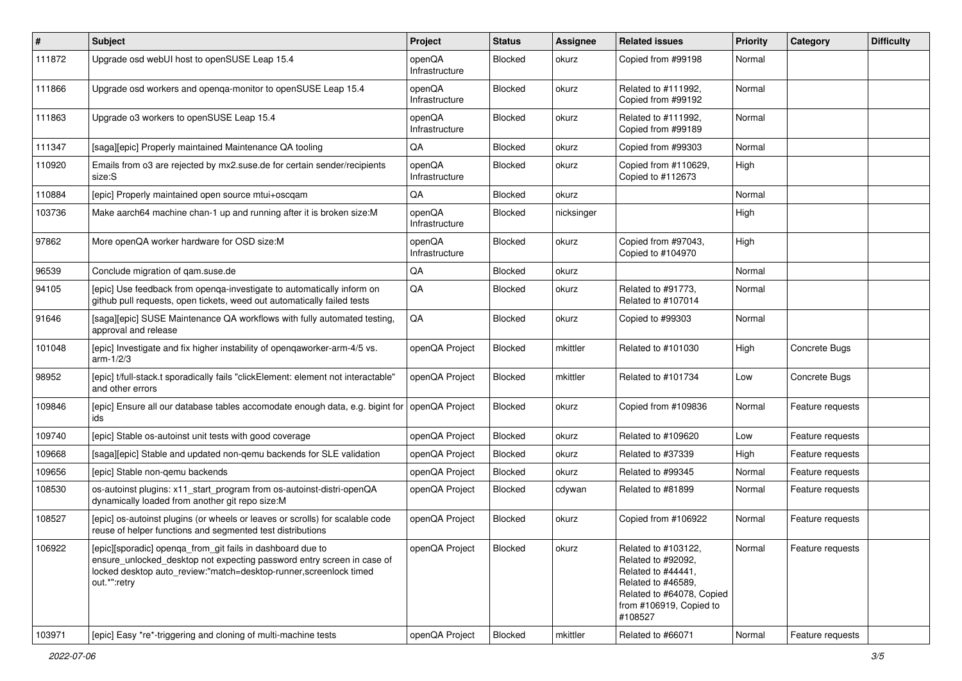| $\vert$ # | Subject                                                                                                                                                                                                                    | Project                  | <b>Status</b>  | <b>Assignee</b> | <b>Related issues</b>                                                                                                                                    | <b>Priority</b> | Category         | <b>Difficulty</b> |
|-----------|----------------------------------------------------------------------------------------------------------------------------------------------------------------------------------------------------------------------------|--------------------------|----------------|-----------------|----------------------------------------------------------------------------------------------------------------------------------------------------------|-----------------|------------------|-------------------|
| 111872    | Upgrade osd webUI host to openSUSE Leap 15.4                                                                                                                                                                               | openQA<br>Infrastructure | Blocked        | okurz           | Copied from #99198                                                                                                                                       | Normal          |                  |                   |
| 111866    | Upgrade osd workers and openga-monitor to openSUSE Leap 15.4                                                                                                                                                               | openQA<br>Infrastructure | Blocked        | okurz           | Related to #111992,<br>Copied from #99192                                                                                                                | Normal          |                  |                   |
| 111863    | Upgrade o3 workers to openSUSE Leap 15.4                                                                                                                                                                                   | openQA<br>Infrastructure | Blocked        | okurz           | Related to #111992,<br>Copied from #99189                                                                                                                | Normal          |                  |                   |
| 111347    | [saga][epic] Properly maintained Maintenance QA tooling                                                                                                                                                                    | QA                       | Blocked        | okurz           | Copied from #99303                                                                                                                                       | Normal          |                  |                   |
| 110920    | Emails from o3 are rejected by mx2.suse.de for certain sender/recipients<br>size:S                                                                                                                                         | openQA<br>Infrastructure | Blocked        | okurz           | Copied from #110629,<br>Copied to #112673                                                                                                                | High            |                  |                   |
| 110884    | [epic] Properly maintained open source mtui+oscqam                                                                                                                                                                         | QA                       | Blocked        | okurz           |                                                                                                                                                          | Normal          |                  |                   |
| 103736    | Make aarch64 machine chan-1 up and running after it is broken size:M                                                                                                                                                       | openQA<br>Infrastructure | Blocked        | nicksinger      |                                                                                                                                                          | High            |                  |                   |
| 97862     | More openQA worker hardware for OSD size:M                                                                                                                                                                                 | openQA<br>Infrastructure | Blocked        | okurz           | Copied from #97043,<br>Copied to #104970                                                                                                                 | High            |                  |                   |
| 96539     | Conclude migration of gam.suse.de                                                                                                                                                                                          | QA                       | Blocked        | okurz           |                                                                                                                                                          | Normal          |                  |                   |
| 94105     | [epic] Use feedback from openga-investigate to automatically inform on<br>github pull requests, open tickets, weed out automatically failed tests                                                                          | QA                       | Blocked        | okurz           | Related to #91773,<br>Related to #107014                                                                                                                 | Normal          |                  |                   |
| 91646     | [saga][epic] SUSE Maintenance QA workflows with fully automated testing,<br>approval and release                                                                                                                           | QA                       | Blocked        | okurz           | Copied to #99303                                                                                                                                         | Normal          |                  |                   |
| 101048    | [epic] Investigate and fix higher instability of opengaworker-arm-4/5 vs.<br>arm-1/2/3                                                                                                                                     | openQA Project           | Blocked        | mkittler        | Related to #101030                                                                                                                                       | High            | Concrete Bugs    |                   |
| 98952     | [epic] t/full-stack.t sporadically fails "clickElement: element not interactable"<br>and other errors                                                                                                                      | openQA Project           | Blocked        | mkittler        | Related to #101734                                                                                                                                       | Low             | Concrete Bugs    |                   |
| 109846    | [epic] Ensure all our database tables accomodate enough data, e.g. bigint for<br>ids                                                                                                                                       | openQA Project           | Blocked        | okurz           | Copied from #109836                                                                                                                                      | Normal          | Feature requests |                   |
| 109740    | [epic] Stable os-autoinst unit tests with good coverage                                                                                                                                                                    | openQA Project           | Blocked        | okurz           | Related to #109620                                                                                                                                       | Low             | Feature requests |                   |
| 109668    | [saga][epic] Stable and updated non-gemu backends for SLE validation                                                                                                                                                       | openQA Project           | Blocked        | okurz           | Related to #37339                                                                                                                                        | High            | Feature requests |                   |
| 109656    | [epic] Stable non-gemu backends                                                                                                                                                                                            | openQA Project           | Blocked        | okurz           | Related to #99345                                                                                                                                        | Normal          | Feature requests |                   |
| 108530    | os-autoinst plugins: x11_start_program from os-autoinst-distri-openQA<br>dynamically loaded from another git repo size:M                                                                                                   | openQA Project           | Blocked        | cdywan          | Related to #81899                                                                                                                                        | Normal          | Feature requests |                   |
| 108527    | [epic] os-autoinst plugins (or wheels or leaves or scrolls) for scalable code<br>reuse of helper functions and segmented test distributions                                                                                | openQA Project           | Blocked        | okurz           | Copied from #106922                                                                                                                                      | Normal          | Feature requests |                   |
| 106922    | [epic][sporadic] openga_from_git fails in dashboard due to<br>ensure unlocked desktop not expecting password entry screen in case of<br>locked desktop auto review:"match=desktop-runner, screenlock timed<br>out.*":retry | openQA Project           | <b>Blocked</b> | okurz           | Related to #103122,<br>Related to #92092,<br>Related to #44441,<br>Related to #46589,<br>Related to #64078, Copied<br>from #106919, Copied to<br>#108527 | Normal          | Feature requests |                   |
| 103971    | [epic] Easy *re*-triggering and cloning of multi-machine tests                                                                                                                                                             | openQA Project           | Blocked        | mkittler        | Related to #66071                                                                                                                                        | Normal          | Feature requests |                   |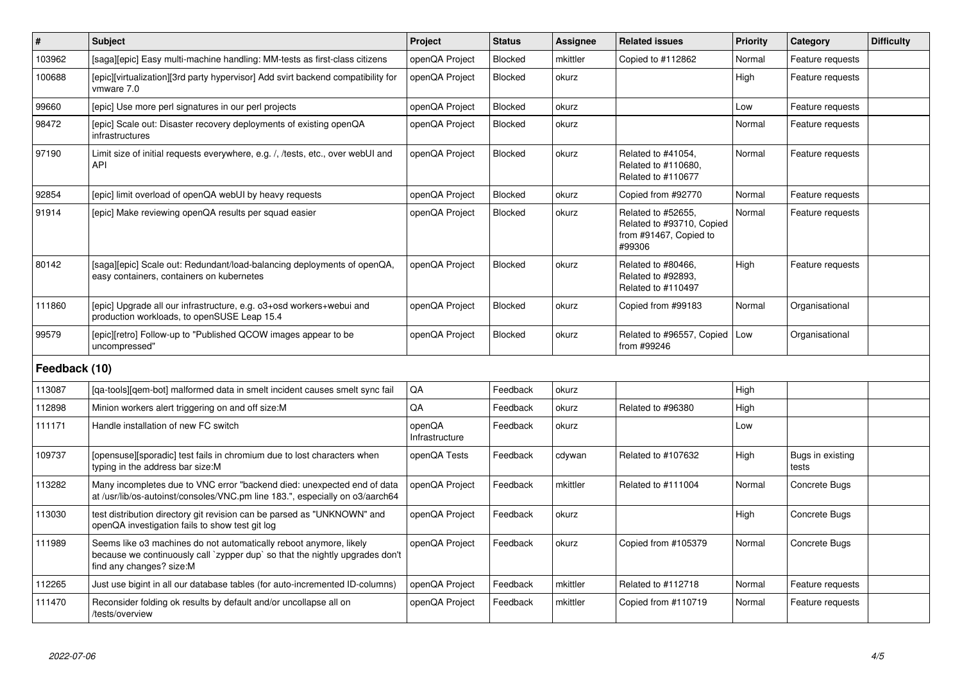| $\sharp$      | <b>Subject</b>                                                                                                                                                                 | <b>Project</b>           | <b>Status</b>  | <b>Assignee</b> | <b>Related issues</b>                                                               | <b>Priority</b> | Category                  | <b>Difficulty</b> |
|---------------|--------------------------------------------------------------------------------------------------------------------------------------------------------------------------------|--------------------------|----------------|-----------------|-------------------------------------------------------------------------------------|-----------------|---------------------------|-------------------|
| 103962        | [saga][epic] Easy multi-machine handling: MM-tests as first-class citizens                                                                                                     | openQA Project           | Blocked        | mkittler        | Copied to #112862                                                                   | Normal          | Feature requests          |                   |
| 100688        | [epic][virtualization][3rd party hypervisor] Add svirt backend compatibility for<br>vmware 7.0                                                                                 | openQA Project           | <b>Blocked</b> | okurz           |                                                                                     | High            | Feature requests          |                   |
| 99660         | (epic) Use more perl signatures in our perl projects                                                                                                                           | openQA Project           | <b>Blocked</b> | okurz           |                                                                                     | Low             | Feature requests          |                   |
| 98472         | [epic] Scale out: Disaster recovery deployments of existing openQA<br>infrastructures                                                                                          | openQA Project           | Blocked        | okurz           |                                                                                     | Normal          | Feature requests          |                   |
| 97190         | Limit size of initial requests everywhere, e.g. /, /tests, etc., over webUI and<br>API                                                                                         | openQA Project           | Blocked        | okurz           | Related to #41054,<br>Related to #110680,<br>Related to #110677                     | Normal          | Feature requests          |                   |
| 92854         | [epic] limit overload of openQA webUI by heavy requests                                                                                                                        | openQA Project           | Blocked        | okurz           | Copied from #92770                                                                  | Normal          | Feature requests          |                   |
| 91914         | [epic] Make reviewing openQA results per squad easier                                                                                                                          | openQA Project           | <b>Blocked</b> | okurz           | Related to #52655,<br>Related to #93710, Copied<br>from #91467, Copied to<br>#99306 | Normal          | Feature requests          |                   |
| 80142         | [saga][epic] Scale out: Redundant/load-balancing deployments of openQA,<br>easy containers, containers on kubernetes                                                           | openQA Project           | Blocked        | okurz           | Related to #80466,<br>Related to #92893,<br>Related to #110497                      | High            | Feature requests          |                   |
| 111860        | [epic] Upgrade all our infrastructure, e.g. o3+osd workers+webui and<br>production workloads, to openSUSE Leap 15.4                                                            | openQA Project           | <b>Blocked</b> | okurz           | Copied from #99183                                                                  | Normal          | Organisational            |                   |
| 99579         | [epic][retro] Follow-up to "Published QCOW images appear to be<br>uncompressed"                                                                                                | openQA Project           | Blocked        | okurz           | Related to #96557, Copied<br>from #99246                                            | Low             | Organisational            |                   |
| Feedback (10) |                                                                                                                                                                                |                          |                |                 |                                                                                     |                 |                           |                   |
| 113087        | [qa-tools][qem-bot] malformed data in smelt incident causes smelt sync fail                                                                                                    | QA                       | Feedback       | okurz           |                                                                                     | High            |                           |                   |
| 112898        | Minion workers alert triggering on and off size: M                                                                                                                             | QA                       | Feedback       | okurz           | Related to #96380                                                                   | High            |                           |                   |
| 111171        | Handle installation of new FC switch                                                                                                                                           | openQA<br>Infrastructure | Feedback       | okurz           |                                                                                     | Low             |                           |                   |
| 109737        | [opensuse][sporadic] test fails in chromium due to lost characters when<br>typing in the address bar size:M                                                                    | openQA Tests             | Feedback       | cdywan          | Related to #107632                                                                  | High            | Bugs in existing<br>tests |                   |
| 113282        | Many incompletes due to VNC error "backend died: unexpected end of data<br>at /usr/lib/os-autoinst/consoles/VNC.pm line 183.", especially on o3/aarch64                        | openQA Project           | Feedback       | mkittler        | Related to #111004                                                                  | Normal          | Concrete Bugs             |                   |
| 113030        | test distribution directory git revision can be parsed as "UNKNOWN" and<br>openQA investigation fails to show test git log                                                     | openQA Project           | Feedback       | okurz           |                                                                                     | High            | Concrete Bugs             |                   |
| 111989        | Seems like o3 machines do not automatically reboot anymore, likely<br>because we continuously call `zypper dup` so that the nightly upgrades don't<br>find any changes? size:M | openQA Project           | Feedback       | okurz           | Copied from #105379                                                                 | Normal          | Concrete Bugs             |                   |
| 112265        | Just use bigint in all our database tables (for auto-incremented ID-columns)                                                                                                   | openQA Project           | Feedback       | mkittler        | Related to #112718                                                                  | Normal          | Feature requests          |                   |
| 111470        | Reconsider folding ok results by default and/or uncollapse all on<br>/tests/overview                                                                                           | openQA Project           | Feedback       | mkittler        | Copied from #110719                                                                 | Normal          | Feature requests          |                   |